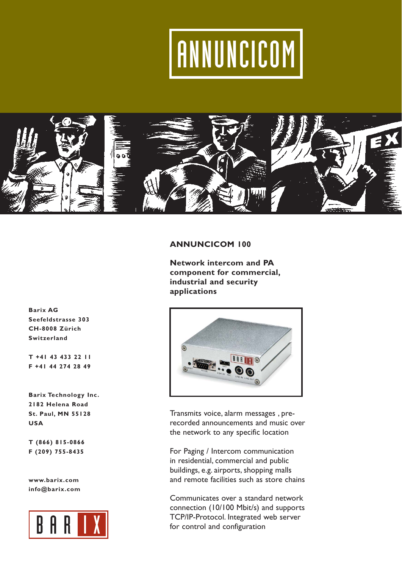## ANNUNCICOM



### **ANNUNCICOM 100**

**Network intercom and PA component for commercial, industrial and security applications**



Transmits voice, alarm messages , prerecorded announcements and music over the network to any specific location

For Paging / Intercom communication in residential, commercial and public buildings, e.g. airports, shopping malls and remote facilities such as store chains

Communicates over a standard network connection (10/100 Mbit/s) and supports TCP/IP-Protocol. Integrated web server for control and configuration

**Barix AG Seefeldstrasse 303 CH-8008 Zürich Switzerland**

**T +41 43 433 22 11 F +41 44 274 28 49**

**Barix Technology Inc. 2182 Helena Road St. Paul, MN 55128 USA**

**T (866) 815-0866 F (209) 755-8435**

**www.barix.com info@barix.com**